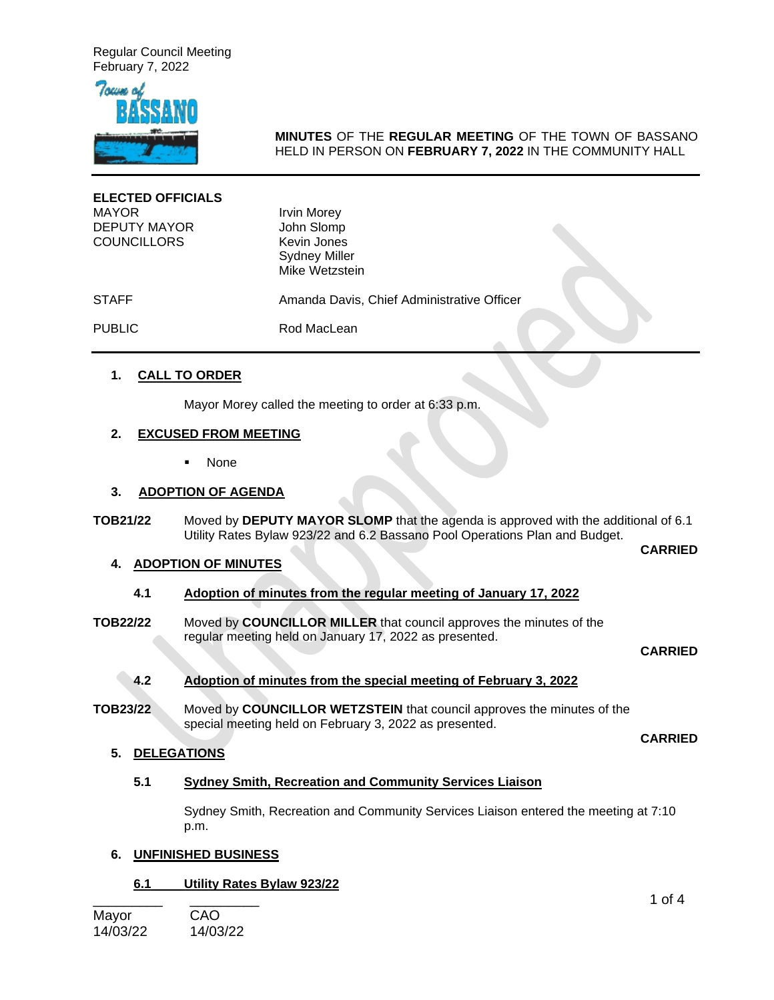

# **MINUTES** OF THE **REGULAR MEETING** OF THE TOWN OF BASSANO HELD IN PERSON ON **FEBRUARY 7, 2022** IN THE COMMUNITY HALL

| <b>ELECTED OFFICIALS</b><br><b>MAYOR</b><br><b>DEPUTY MAYOR</b><br><b>COUNCILLORS</b> | <b>Irvin Morey</b><br>John Slomp<br>Kevin Jones<br><b>Sydney Miller</b><br>Mike Wetzstein |  |
|---------------------------------------------------------------------------------------|-------------------------------------------------------------------------------------------|--|
| <b>STAFF</b>                                                                          | Amanda Davis, Chief Administrative Officer                                                |  |
| <b>PUBLIC</b>                                                                         | Rod MacLean                                                                               |  |

# **1. CALL TO ORDER**

Mayor Morey called the meeting to order at 6:33 p.m.

# **2. EXCUSED FROM MEETING**

None

# **3. ADOPTION OF AGENDA**

**TOB21/22** Moved by **DEPUTY MAYOR SLOMP** that the agenda is approved with the additional of 6.1 Utility Rates Bylaw 923/22 and 6.2 Bassano Pool Operations Plan and Budget.

**CARRIED**

# **4. ADOPTION OF MINUTES**

# **4.1 Adoption of minutes from the regular meeting of January 17, 2022**

**TOB22/22** Moved by **COUNCILLOR MILLER** that council approves the minutes of the regular meeting held on January 17, 2022 as presented.

#### **CARRIED**

### **4.2 Adoption of minutes from the special meeting of February 3, 2022**

**TOB23/22** Moved by **COUNCILLOR WETZSTEIN** that council approves the minutes of the special meeting held on February 3, 2022 as presented.

**CARRIED**

# **5. DELEGATIONS**

### **5.1 Sydney Smith, Recreation and Community Services Liaison**

Sydney Smith, Recreation and Community Services Liaison entered the meeting at 7:10 p.m.

### **6. UNFINISHED BUSINESS**

### **6.1 Utility Rates Bylaw 923/22**

Mayor CAO 14/03/22 14/03/22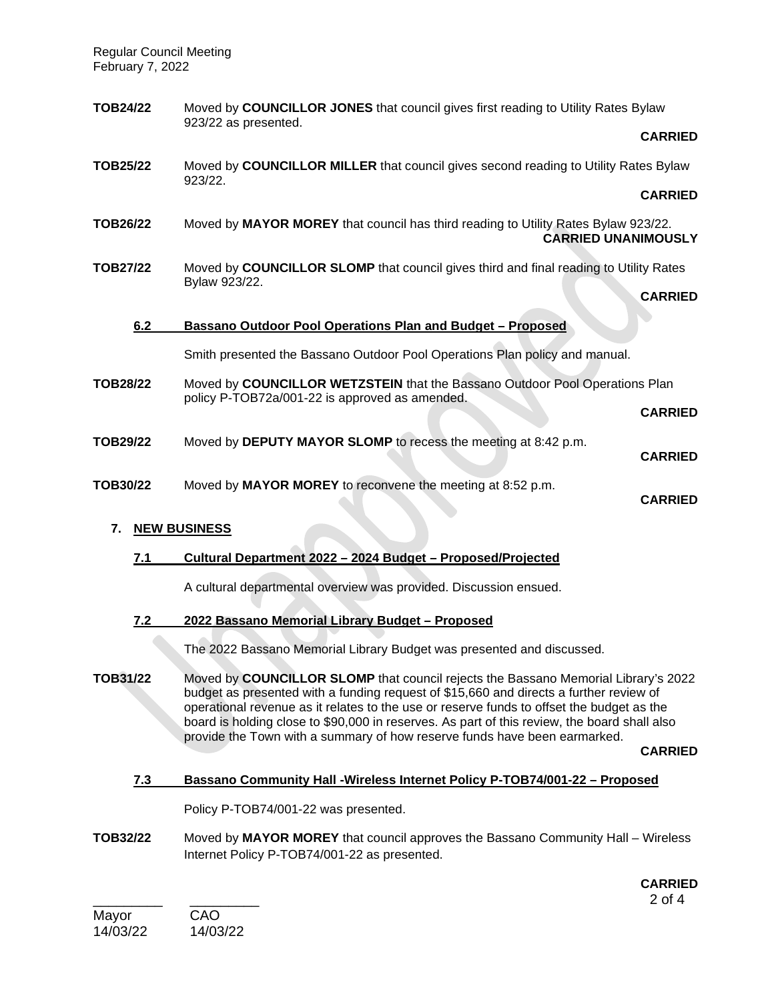| TOB24/22                  |                                                                                                        | Moved by COUNCILLOR JONES that council gives first reading to Utility Rates Bylaw<br>923/22 as presented.                     |                |  |
|---------------------------|--------------------------------------------------------------------------------------------------------|-------------------------------------------------------------------------------------------------------------------------------|----------------|--|
|                           |                                                                                                        |                                                                                                                               | <b>CARRIED</b> |  |
| TOB25/22                  |                                                                                                        | Moved by COUNCILLOR MILLER that council gives second reading to Utility Rates Bylaw<br>923/22.                                |                |  |
|                           |                                                                                                        |                                                                                                                               | <b>CARRIED</b> |  |
| TOB26/22                  |                                                                                                        | Moved by MAYOR MOREY that council has third reading to Utility Rates Bylaw 923/22.<br><b>CARRIED UNANIMOUSLY</b>              |                |  |
| <b>TOB27/22</b>           | Moved by COUNCILLOR SLOMP that council gives third and final reading to Utility Rates<br>Bylaw 923/22. |                                                                                                                               |                |  |
|                           |                                                                                                        |                                                                                                                               | <b>CARRIED</b> |  |
|                           | 6.2                                                                                                    | Bassano Outdoor Pool Operations Plan and Budget - Proposed                                                                    |                |  |
|                           |                                                                                                        | Smith presented the Bassano Outdoor Pool Operations Plan policy and manual.                                                   |                |  |
| TOB28/22                  |                                                                                                        | Moved by COUNCILLOR WETZSTEIN that the Bassano Outdoor Pool Operations Plan<br>policy P-TOB72a/001-22 is approved as amended. |                |  |
|                           |                                                                                                        |                                                                                                                               | <b>CARRIED</b> |  |
| TOB29/22                  |                                                                                                        | Moved by DEPUTY MAYOR SLOMP to recess the meeting at 8:42 p.m.                                                                | <b>CARRIED</b> |  |
| TOB30/22                  |                                                                                                        | Moved by MAYOR MOREY to reconvene the meeting at 8:52 p.m.                                                                    | <b>CARRIED</b> |  |
| 7.<br><b>NEW BUSINESS</b> |                                                                                                        |                                                                                                                               |                |  |
|                           | 7.1                                                                                                    | Cultural Department 2022 - 2024 Budget - Proposed/Projected                                                                   |                |  |

A cultural departmental overview was provided. Discussion ensued.

# **7.2 2022 Bassano Memorial Library Budget – Proposed**

The 2022 Bassano Memorial Library Budget was presented and discussed.

**TOB31/22** Moved by **COUNCILLOR SLOMP** that council rejects the Bassano Memorial Library's 2022 budget as presented with a funding request of \$15,660 and directs a further review of operational revenue as it relates to the use or reserve funds to offset the budget as the board is holding close to \$90,000 in reserves. As part of this review, the board shall also provide the Town with a summary of how reserve funds have been earmarked.

**CARRIED**

### **7.3 Bassano Community Hall -Wireless Internet Policy P-TOB74/001-22 – Proposed**

Policy P-TOB74/001-22 was presented.

**TOB32/22** Moved by **MAYOR MOREY** that council approves the Bassano Community Hall – Wireless Internet Policy P-TOB74/001-22 as presented.

\_\_\_\_\_\_\_\_\_ \_\_\_\_\_\_\_\_\_ 2 of 4 **CARRIED**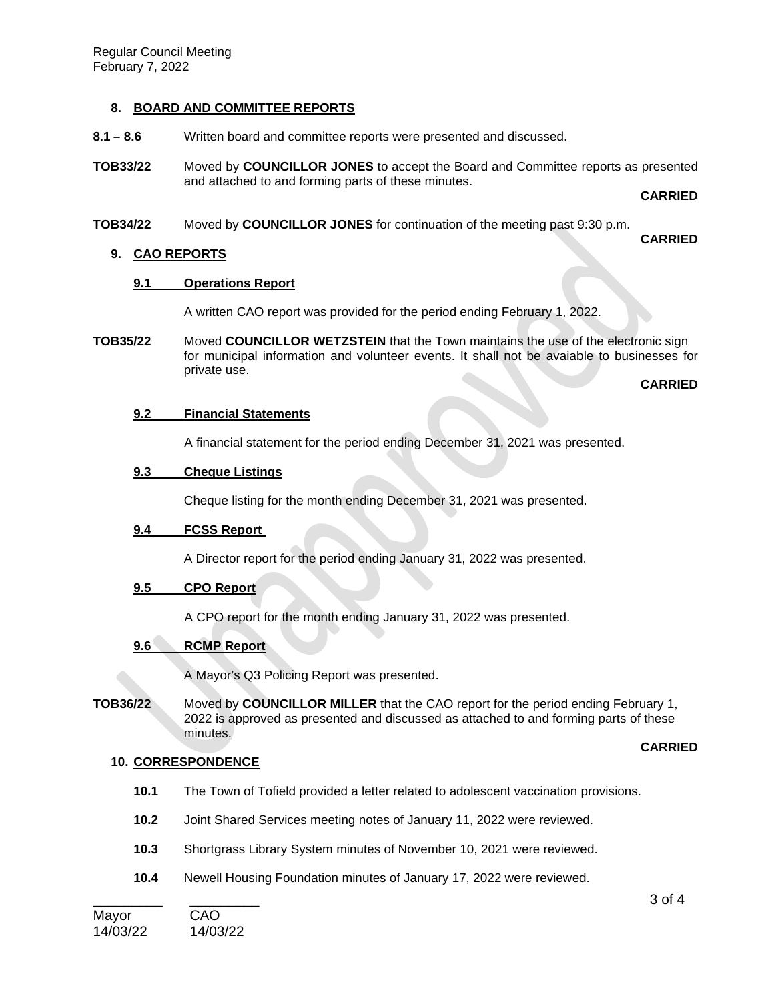# **8. BOARD AND COMMITTEE REPORTS**

- **8.1 – 8.6** Written board and committee reports were presented and discussed.
- **TOB33/22** Moved by **COUNCILLOR JONES** to accept the Board and Committee reports as presented and attached to and forming parts of these minutes.

**CARRIED**

**TOB34/22** Moved by **COUNCILLOR JONES** for continuation of the meeting past 9:30 p.m.

**CARRIED**

### **9. CAO REPORTS**

### **9.1 Operations Report**

A written CAO report was provided for the period ending February 1, 2022.

**TOB35/22** Moved **COUNCILLOR WETZSTEIN** that the Town maintains the use of the electronic sign for municipal information and volunteer events. It shall not be avaiable to businesses for private use.

**CARRIED**

### **9.2 Financial Statements**

A financial statement for the period ending December 31, 2021 was presented.

# **9.3 Cheque Listings**

Cheque listing for the month ending December 31, 2021 was presented.

### **9.4 FCSS Report**

A Director report for the period ending January 31, 2022 was presented.

# **9.5 CPO Report**

A CPO report for the month ending January 31, 2022 was presented.

# **9.6 RCMP Report**

A Mayor's Q3 Policing Report was presented.

**TOB36/22** Moved by **COUNCILLOR MILLER** that the CAO report for the period ending February 1, 2022 is approved as presented and discussed as attached to and forming parts of these minutes.

### **CARRIED**

### **10. CORRESPONDENCE**

- **10.1** The Town of Tofield provided a letter related to adolescent vaccination provisions.
- **10.2** Joint Shared Services meeting notes of January 11, 2022 were reviewed.
- **10.3** Shortgrass Library System minutes of November 10, 2021 were reviewed.
- **10.4** Newell Housing Foundation minutes of January 17, 2022 were reviewed.